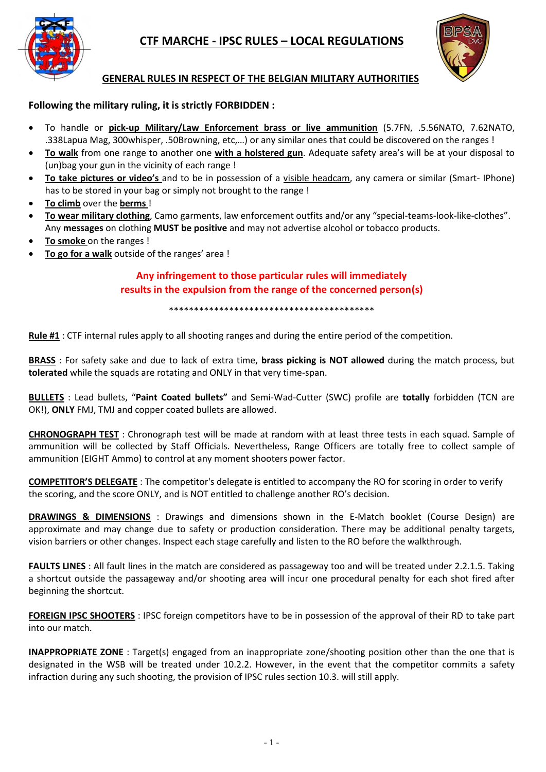

# **CTF MARCHE - IPSC RULES – LOCAL REGULATIONS**



### **GENERAL RULES IN RESPECT OF THE BELGIAN MILITARY AUTHORITIES**

#### **Following the military ruling, it is strictly FORBIDDEN :**

- To handle or **pick-up Military/Law Enforcement brass or live ammunition** (5.7FN, .5.56NATO, 7.62NATO, .338Lapua Mag, 300whisper, .50Browning, etc,…) or any similar ones that could be discovered on the ranges !
- **To walk** from one range to another one **with a holstered gun**. Adequate safety area's will be at your disposal to (un)bag your gun in the vicinity of each range !
- **To take pictures or video's** and to be in possession of a visible headcam, any camera or similar (Smart- IPhone) has to be stored in your bag or simply not brought to the range !
- **To climb** over the **berms** !
- **To wear military clothing**, Camo garments, law enforcement outfits and/or any "special-teams-look-like-clothes". Any **messages** on clothing **MUST be positive** and may not advertise alcohol or tobacco products.
- **To smoke** on the ranges !
- **To go for a walk** outside of the ranges' area !

### **Any infringement to those particular rules will immediately results in the expulsion from the range of the concerned person(s)**

\*\*\*\*\*\*\*\*\*\*\*\*\*\*\*\*\*\*\*\*\*\*\*\*\*\*\*\*\*\*\*\*\*\*\*\*\*\*\*\*\*

**Rule #1** : CTF internal rules apply to all shooting ranges and during the entire period of the competition.

**BRASS** : For safety sake and due to lack of extra time, **brass picking is NOT allowed** during the match process, but **tolerated** while the squads are rotating and ONLY in that very time-span.

**BULLETS** : Lead bullets, "**Paint Coated bullets"** and Semi-Wad-Cutter (SWC) profile are **totally** forbidden (TCN are OK!), **ONLY** FMJ, TMJ and copper coated bullets are allowed.

**CHRONOGRAPH TEST** : Chronograph test will be made at random with at least three tests in each squad. Sample of ammunition will be collected by Staff Officials. Nevertheless, Range Officers are totally free to collect sample of ammunition (EIGHT Ammo) to control at any moment shooters power factor.

**COMPETITOR'S DELEGATE** : The competitor's delegate is entitled to accompany the RO for scoring in order to verify the scoring, and the score ONLY, and is NOT entitled to challenge another RO's decision.

**DRAWINGS & DIMENSIONS** : Drawings and dimensions shown in the E-Match booklet (Course Design) are approximate and may change due to safety or production consideration. There may be additional penalty targets, vision barriers or other changes. Inspect each stage carefully and listen to the RO before the walkthrough.

**FAULTS LINES** : All fault lines in the match are considered as passageway too and will be treated under 2.2.1.5. Taking a shortcut outside the passageway and/or shooting area will incur one procedural penalty for each shot fired after beginning the shortcut.

**FOREIGN IPSC SHOOTERS** : IPSC foreign competitors have to be in possession of the approval of their RD to take part into our match.

**INAPPROPRIATE ZONE** : Target(s) engaged from an inappropriate zone/shooting position other than the one that is designated in the WSB will be treated under 10.2.2. However, in the event that the competitor commits a safety infraction during any such shooting, the provision of IPSC rules section 10.3. will still apply.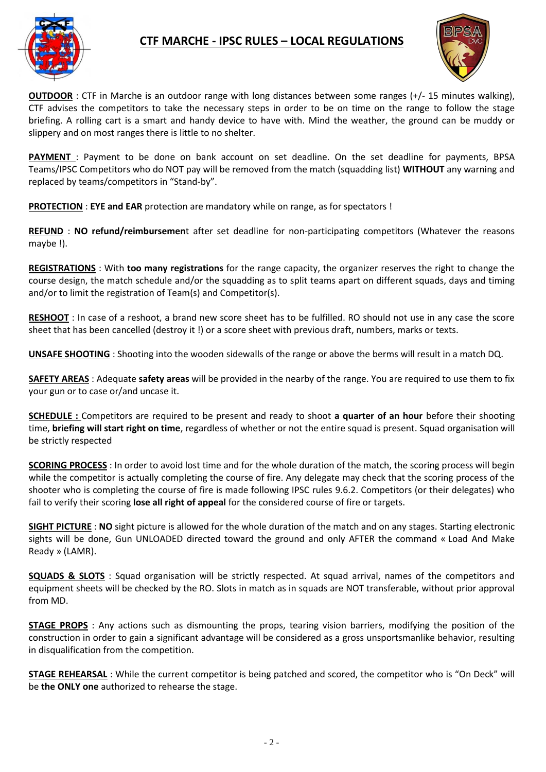

### **CTF MARCHE - IPSC RULES – LOCAL REGULATIONS**



**OUTDOOR** : CTF in Marche is an outdoor range with long distances between some ranges (+/- 15 minutes walking), CTF advises the competitors to take the necessary steps in order to be on time on the range to follow the stage briefing. A rolling cart is a smart and handy device to have with. Mind the weather, the ground can be muddy or slippery and on most ranges there is little to no shelter.

**PAYMENT** : Payment to be done on bank account on set deadline. On the set deadline for payments, BPSA Teams/IPSC Competitors who do NOT pay will be removed from the match (squadding list) **WITHOUT** any warning and replaced by teams/competitors in "Stand-by".

**PROTECTION** : **EYE and EAR** protection are mandatory while on range, as for spectators !

**REFUND** : **NO refund/reimbursemen**t after set deadline for non-participating competitors (Whatever the reasons maybe !).

**REGISTRATIONS** : With **too many registrations** for the range capacity, the organizer reserves the right to change the course design, the match schedule and/or the squadding as to split teams apart on different squads, days and timing and/or to limit the registration of Team(s) and Competitor(s).

**RESHOOT** : In case of a reshoot, a brand new score sheet has to be fulfilled. RO should not use in any case the score sheet that has been cancelled (destroy it !) or a score sheet with previous draft, numbers, marks or texts.

**UNSAFE SHOOTING** : Shooting into the wooden sidewalls of the range or above the berms will result in a match DQ.

**SAFETY AREAS** : Adequate **safety areas** will be provided in the nearby of the range. You are required to use them to fix your gun or to case or/and uncase it.

**SCHEDULE :** Competitors are required to be present and ready to shoot **a quarter of an hour** before their shooting time, **briefing will start right on time**, regardless of whether or not the entire squad is present. Squad organisation will be strictly respected

**SCORING PROCESS** : In order to avoid lost time and for the whole duration of the match, the scoring process will begin while the competitor is actually completing the course of fire. Any delegate may check that the scoring process of the shooter who is completing the course of fire is made following IPSC rules 9.6.2. Competitors (or their delegates) who fail to verify their scoring **lose all right of appeal** for the considered course of fire or targets.

**SIGHT PICTURE** : **NO** sight picture is allowed for the whole duration of the match and on any stages. Starting electronic sights will be done, Gun UNLOADED directed toward the ground and only AFTER the command « Load And Make Ready » (LAMR).

**SQUADS & SLOTS** : Squad organisation will be strictly respected. At squad arrival, names of the competitors and equipment sheets will be checked by the RO. Slots in match as in squads are NOT transferable, without prior approval from MD.

**STAGE PROPS** : Any actions such as dismounting the props, tearing vision barriers, modifying the position of the construction in order to gain a significant advantage will be considered as a gross unsportsmanlike behavior, resulting in disqualification from the competition.

**STAGE REHEARSAL** : While the current competitor is being patched and scored, the competitor who is "On Deck" will be **the ONLY one** authorized to rehearse the stage.